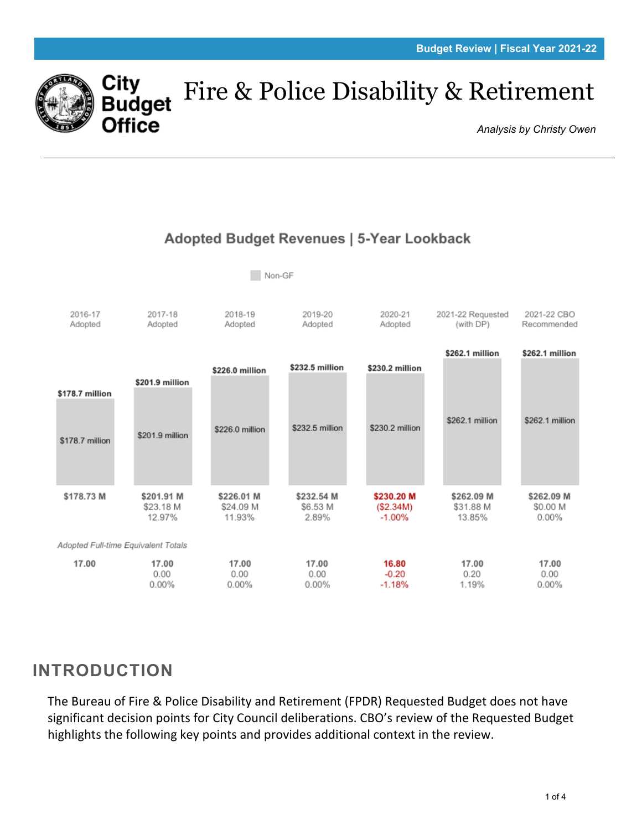

## Fire & Police Disability & Retirement Budget

*Analysis by Christy Owen*



## Adopted Budget Revenues | 5-Year Lookback

## **INTRODUCTION**

The Bureau of Fire & Police Disability and Retirement (FPDR) Requested Budget does not have significant decision points for City Council deliberations. CBO's review of the Requested Budget highlights the following key points and provides additional context in the review.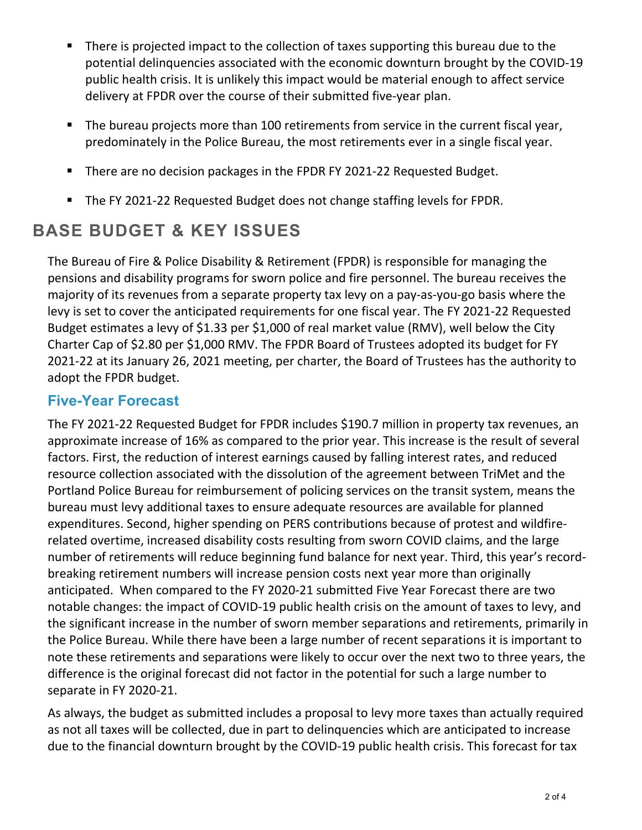- There is projected impact to the collection of taxes supporting this bureau due to the potential delinquencies associated with the economic downturn brought by the COVID-19 public health crisis. It is unlikely this impact would be material enough to affect service delivery at FPDR over the course of their submitted five-year plan.
- The bureau projects more than 100 retirements from service in the current fiscal year, predominately in the Police Bureau, the most retirements ever in a single fiscal year.
- There are no decision packages in the FPDR FY 2021-22 Requested Budget.
- The FY 2021-22 Requested Budget does not change staffing levels for FPDR.

# **BASE BUDGET & KEY ISSUES**

The Bureau of Fire & Police Disability & Retirement (FPDR) is responsible for managing the pensions and disability programs for sworn police and fire personnel. The bureau receives the majority of its revenues from a separate property tax levy on a pay-as-you-go basis where the levy is set to cover the anticipated requirements for one fiscal year. The FY 2021-22 Requested Budget estimates a levy of \$1.33 per \$1,000 of real market value (RMV), well below the City Charter Cap of \$2.80 per \$1,000 RMV. The FPDR Board of Trustees adopted its budget for FY 2021-22 at its January 26, 2021 meeting, per charter, the Board of Trustees has the authority to adopt the FPDR budget.

#### **Five-Year Forecast**

The FY 2021-22 Requested Budget for FPDR includes \$190.7 million in property tax revenues, an approximate increase of 16% as compared to the prior year. This increase is the result of several factors. First, the reduction of interest earnings caused by falling interest rates, and reduced resource collection associated with the dissolution of the agreement between TriMet and the Portland Police Bureau for reimbursement of policing services on the transit system, means the bureau must levy additional taxes to ensure adequate resources are available for planned expenditures. Second, higher spending on PERS contributions because of protest and wildfirerelated overtime, increased disability costs resulting from sworn COVID claims, and the large number of retirements will reduce beginning fund balance for next year. Third, this year's recordbreaking retirement numbers will increase pension costs next year more than originally anticipated. When compared to the FY 2020-21 submitted Five Year Forecast there are two notable changes: the impact of COVID-19 public health crisis on the amount of taxes to levy, and the significant increase in the number of sworn member separations and retirements, primarily in the Police Bureau. While there have been a large number of recent separations it is important to note these retirements and separations were likely to occur over the next two to three years, the difference is the original forecast did not factor in the potential for such a large number to separate in FY 2020-21.

As always, the budget as submitted includes a proposal to levy more taxes than actually required as not all taxes will be collected, due in part to delinquencies which are anticipated to increase due to the financial downturn brought by the COVID-19 public health crisis. This forecast for tax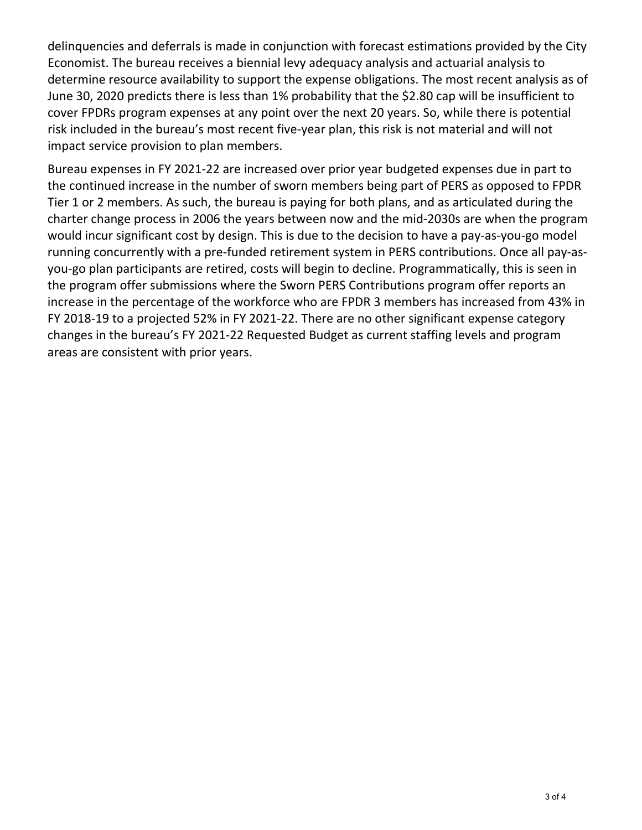delinquencies and deferrals is made in conjunction with forecast estimations provided by the City Economist. The bureau receives a biennial levy adequacy analysis and actuarial analysis to determine resource availability to support the expense obligations. The most recent analysis as of June 30, 2020 predicts there is less than 1% probability that the \$2.80 cap will be insufficient to cover FPDRs program expenses at any point over the next 20 years. So, while there is potential risk included in the bureau's most recent five-year plan, this risk is not material and will not impact service provision to plan members.

Bureau expenses in FY 2021-22 are increased over prior year budgeted expenses due in part to the continued increase in the number of sworn members being part of PERS as opposed to FPDR Tier 1 or 2 members. As such, the bureau is paying for both plans, and as articulated during the charter change process in 2006 the years between now and the mid-2030s are when the program would incur significant cost by design. This is due to the decision to have a pay-as-you-go model running concurrently with a pre-funded retirement system in PERS contributions. Once all pay-asyou-go plan participants are retired, costs will begin to decline. Programmatically, this is seen in the program offer submissions where the Sworn PERS Contributions program offer reports an increase in the percentage of the workforce who are FPDR 3 members has increased from 43% in FY 2018-19 to a projected 52% in FY 2021-22. There are no other significant expense category changes in the bureau's FY 2021-22 Requested Budget as current staffing levels and program areas are consistent with prior years.